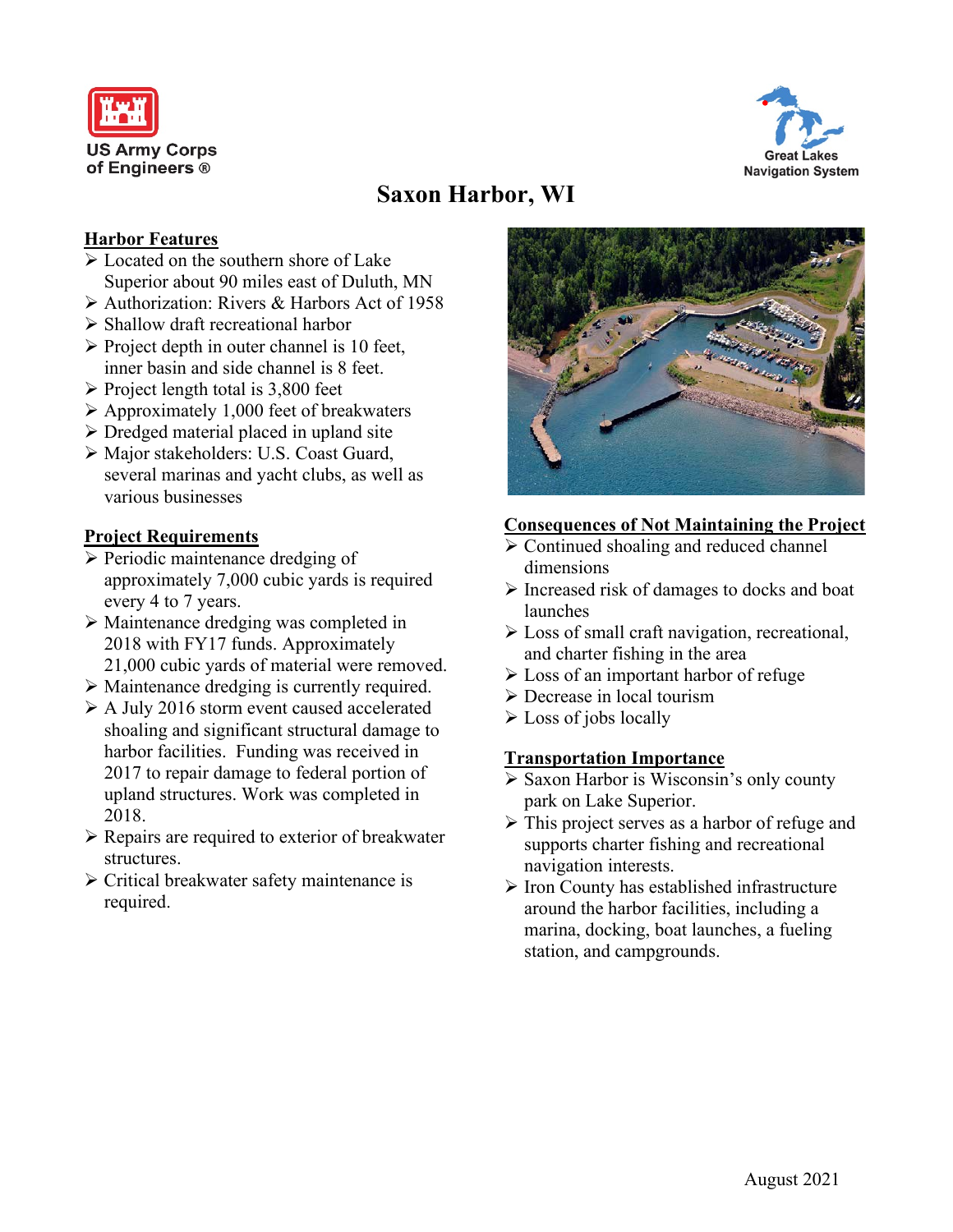



# **Saxon Harbor, WI**

#### **Harbor Features**

- $\sqrt{\phantom{a}}$  Located on the southern shore of Lake Superior about 90 miles east of Duluth, MN
- Authorization: Rivers & Harbors Act of 1958
- Shallow draft recreational harbor
- $\triangleright$  Project depth in outer channel is 10 feet, inner basin and side channel is 8 feet.
- $\triangleright$  Project length total is 3,800 feet
- $\triangleright$  Approximately 1,000 feet of breakwaters
- $\triangleright$  Dredged material placed in upland site
- Major stakeholders: U.S. Coast Guard, several marinas and yacht clubs, as well as various businesses

### **Project Requirements**

- $\triangleright$  Periodic maintenance dredging of approximately 7,000 cubic yards is required every 4 to 7 years.
- Maintenance dredging was completed in 2018 with FY17 funds. Approximately 21,000 cubic yards of material were removed.
- Maintenance dredging is currently required.
- A July 2016 storm event caused accelerated
- shoaling and significant structural damage to harbor facilities. Funding was received in 2017 to repair damage to federal portion of upland structures. Work was completed in 2018.
- $\triangleright$  Repairs are required to exterior of breakwater structures.
- $\triangleright$  Critical breakwater safety maintenance is required.



### **Consequences of Not Maintaining the Project**

- Continued shoaling and reduced channel dimensions
- $\triangleright$  Increased risk of damages to docks and boat launches
- Loss of small craft navigation, recreational, and charter fishing in the area
- **Example 1** Loss of an important harbor of refuge
- Decrease in local tourism
- $\triangleright$  Loss of jobs locally

### **Transportation Importance**

- $\triangleright$  Saxon Harbor is Wisconsin's only county park on Lake Superior.
- > This project serves as a harbor of refuge and supports charter fishing and recreational navigation interests.
- $\triangleright$  Iron County has established infrastructure around the harbor facilities, including a marina, docking, boat launches, a fueling station, and campgrounds.